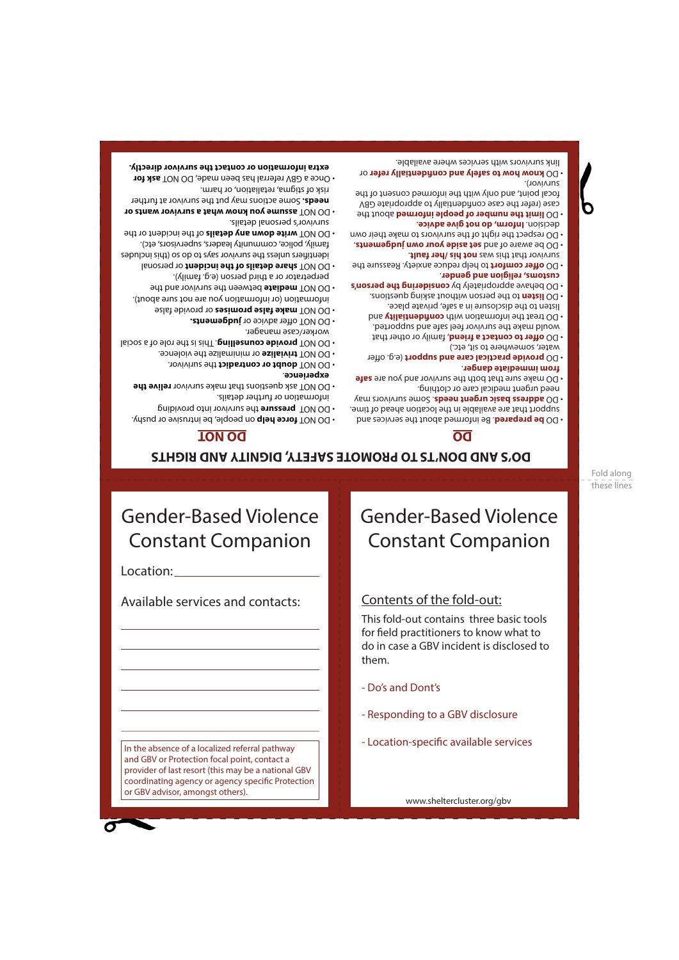In the absence of a localized referral pathway and GBV or Protection focal point, contact a provider of last resort (this may be a national GBV coordinating agency or agency specific Protection or GBV advisor, amongst others).

www.sheltercluster.org/gbv

- Location-specific available services

- Responding to a GBV disclosure
- Do's and Dont's

This fold-out contains three basic tools for field practitioners to know what to do in case a GBV incident is disclosed to them.

### Contents of the fold-out:

# Gender-Based Violence Constant Companion

Fold along these lines

## **DO'S AND DON'TS TO PROMOTE SAFETY, DIGNITY AND RIGHTS**

### **DO NOT DO**

Gender-Based Violence

Constant Companion

Available services and contacts:

Location:

- **DO NOT torce help** on people, be intrusive or pushy.
- **the survivor into providing into providing into providing**
- 
- 
- 
- 
- 
- information or further details.
- 
- 
- 
- 
- 
- 
- 

. DO NOT **provide counselling.** This is the nole of a social

**assume you know what a survivor wants or** • DO NOT Some actions may put the survivor at further **needs.**

**ask for** Once a GBV referral has been made, DO NOT • **extra information or contact the survivor directly.**

- 
- 
- 
- 
- 
- 
- 
- 
- 
- 
- 
- 
- 
- 
- 
- 
- 
- 
- **DO NOT ask questions that make survivor relive the** 
	-
	-
- 
- 
- 

worker/case manager.

survivor's personal details.

risk of stigma, retaliation, or harm.

. **experience**

*CO NOT* **offer advice or judgements.**  or provide false **make false promises** • DO NOT information (or information you are not sure about).  $\bullet$  DO NOT mediate between the survivor and the perpetrator or a third person (e.g. family). or DO NOT share details of the incident or personal identifiers and so to position says to during saying saying saying saying saying saying saying saying saying s family, police, community leaders, supervisors, etc). of the **down any details** of the incident or the

- - Some survivors may . **address basic urgent needs** DO need urgent medical care or clothing.
	-
	-
	-
	-
	-
	-
	-
	-
	-
	-

- support that are available in the location ahead of time.
- 
- . **from immediate danger**
- 

# **• DO make sure that both the survivor and you are sate**

**b information** about the services and . **but the services** and

- 
- 



- 
- water, somewhere to sit, etc.)
- **bo offer to contact a friend**, family or other that would make the survivor feel safe and supported.
- **bus visits** the information with confident the information with listen to the disclosure in a safe, private place.
- to the person without asking questions. **listen** DO
- **considering the person's by participal the person's**
- . **customs, religion and gender** to help reduce anxiety. Reassure the **offer comfort** • DO
- **. Thus read is on the fault**. . DO be aware of and set aside your own judgements
- DO respect the right of the survivors to make their own
- . **Inform, do not give advice** decision. **Jimit the number of people informed about the**
- case (refer the case confidentially to appropriate GBV focal point, and only with the informed consent of the survivor).
- or **know how to safely and confidentially refer** DO link survivors with services where available.